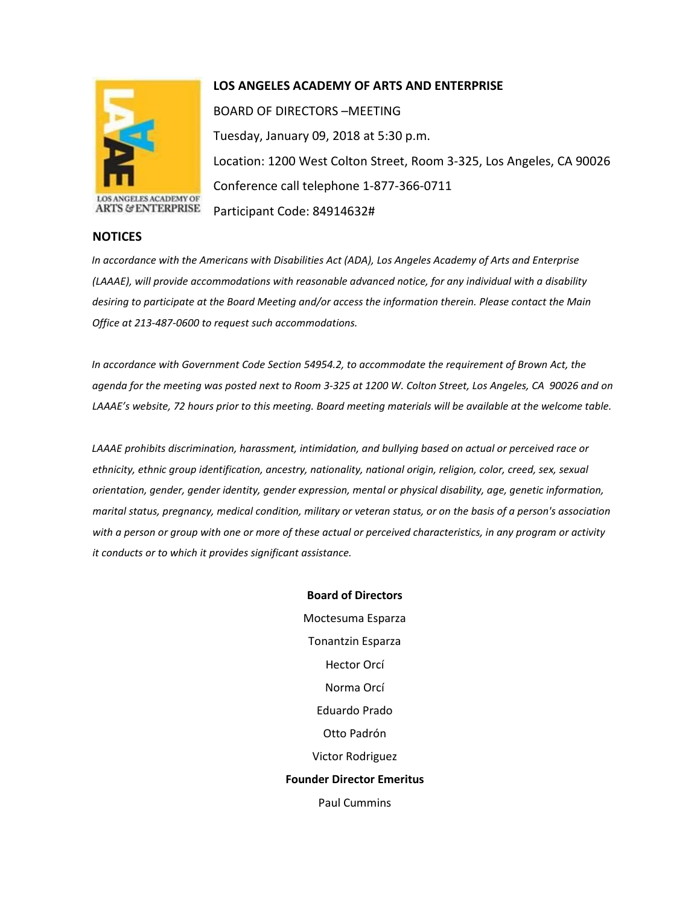

## **LOS ANGELES ACADEMY OF ARTS AND ENTERPRISE**

BOARD OF DIRECTORS –MEETING Tuesday, January 09, 2018 at 5:30 p.m. Location: 1200 West Colton Street, Room 3-325, Los Angeles, CA 90026 Conference call telephone 1-877-366-0711 Participant Code: 84914632#

## **NOTICES**

*In accordance with the Americans with Disabilities Act (ADA), Los Angeles Academy of Arts and Enterprise (LAAAE), will provide accommodations with reasonable advanced notice, for any individual with a disability desiring to participate at the Board Meeting and/or access the information therein. Please contact the Main Office at 213-487-0600 to request such accommodations.* 

*In accordance with Government Code Section 54954.2, to accommodate the requirement of Brown Act, the agenda for the meeting was posted next to Room 3-325 at 1200 W. Colton Street, Los Angeles, CA 90026 and on LAAAE's website, 72 hours prior to this meeting. Board meeting materials will be available at the welcome table.* 

*LAAAE prohibits discrimination, harassment, intimidation, and bullying based on actual or perceived race or ethnicity, ethnic group identification, ancestry, nationality, national origin, religion, color, creed, sex, sexual orientation, gender, gender identity, gender expression, mental or physical disability, age, genetic information, marital status, pregnancy, medical condition, military or veteran status, or on the basis of a person's association with a person or group with one or more of these actual or perceived characteristics, in any program or activity it conducts or to which it provides significant assistance.* 

> **Board of Directors** Moctesuma Esparza Tonantzin Esparza Hector Orcí Norma Orcí Eduardo Prado Otto Padrón Victor Rodriguez **Founder Director Emeritus** Paul Cummins